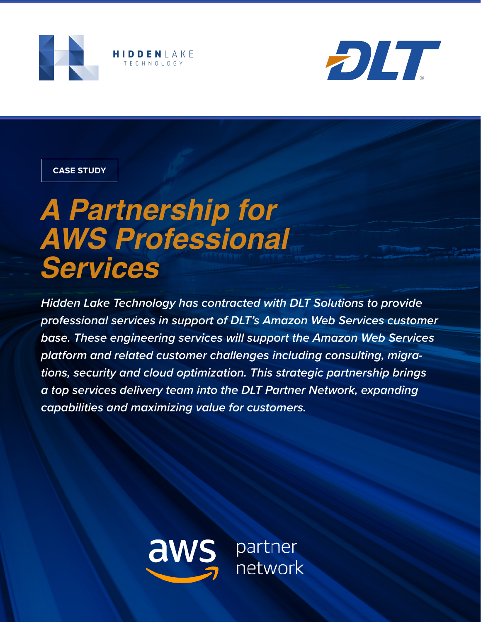



### **CASE STUDY**

# *A Partnership for AWS Professional Services*

*Hidden Lake Technology has contracted with DLT Solutions to provide professional services in support of DLT's Amazon Web Services customer base. These engineering services will support the Amazon Web Services platform and related customer challenges including consulting, migrations, security and cloud optimization. This strategic partnership brings a top services delivery team into the DLT Partner Network, expanding capabilities and maximizing value for customers.*

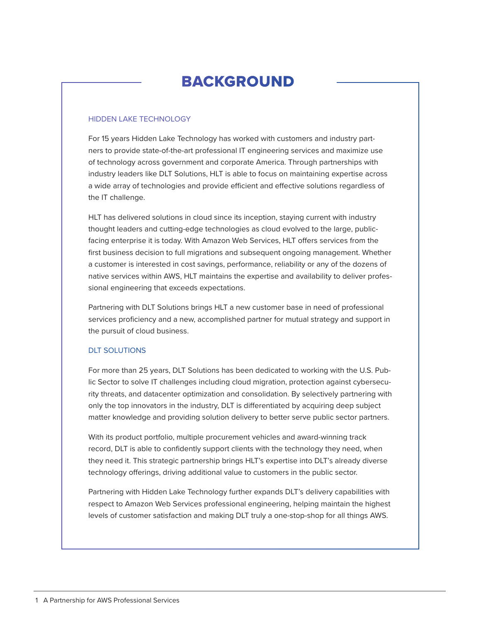## BACKGROUND

#### HIDDEN LAKE TECHNOLOGY

For 15 years Hidden Lake Technology has worked with customers and industry partners to provide state-of-the-art professional IT engineering services and maximize use of technology across government and corporate America. Through partnerships with industry leaders like DLT Solutions, HLT is able to focus on maintaining expertise across a wide array of technologies and provide efficient and effective solutions regardless of the IT challenge.

HLT has delivered solutions in cloud since its inception, staying current with industry thought leaders and cutting-edge technologies as cloud evolved to the large, publicfacing enterprise it is today. With Amazon Web Services, HLT offers services from the first business decision to full migrations and subsequent ongoing management. Whether a customer is interested in cost savings, performance, reliability or any of the dozens of native services within AWS, HLT maintains the expertise and availability to deliver professional engineering that exceeds expectations.

Partnering with DLT Solutions brings HLT a new customer base in need of professional services proficiency and a new, accomplished partner for mutual strategy and support in the pursuit of cloud business.

#### DLT SOLUTIONS

For more than 25 years, DLT Solutions has been dedicated to working with the U.S. Public Sector to solve IT challenges including cloud migration, protection against cybersecurity threats, and datacenter optimization and consolidation. By selectively partnering with only the top innovators in the industry, DLT is differentiated by acquiring deep subject matter knowledge and providing solution delivery to better serve public sector partners.

With its product portfolio, multiple procurement vehicles and award-winning track record, DLT is able to confidently support clients with the technology they need, when they need it. This strategic partnership brings HLT's expertise into DLT's already diverse technology offerings, driving additional value to customers in the public sector.

Partnering with Hidden Lake Technology further expands DLT's delivery capabilities with respect to Amazon Web Services professional engineering, helping maintain the highest levels of customer satisfaction and making DLT truly a one-stop-shop for all things AWS.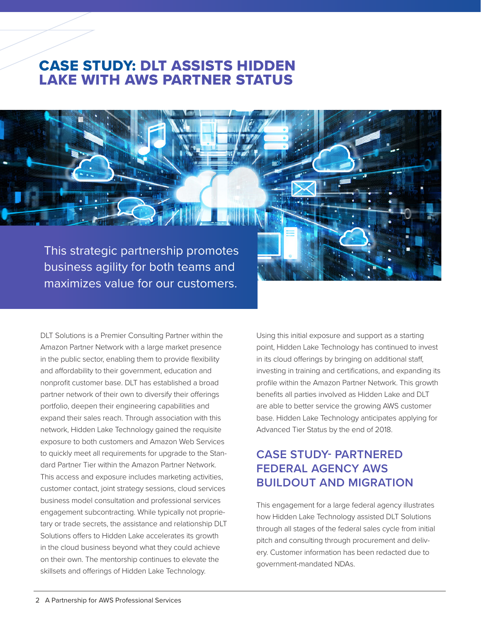## CASE STUDY: DLT ASSISTS HIDDEN LAKE WITH AWS PARTNER STATUS

This strategic partnership promotes business agility for both teams and maximizes value for our customers.

DLT Solutions is a Premier Consulting Partner within the Amazon Partner Network with a large market presence in the public sector, enabling them to provide flexibility and affordability to their government, education and nonprofit customer base. DLT has established a broad partner network of their own to diversify their offerings portfolio, deepen their engineering capabilities and expand their sales reach. Through association with this network, Hidden Lake Technology gained the requisite exposure to both customers and Amazon Web Services to quickly meet all requirements for upgrade to the Standard Partner Tier within the Amazon Partner Network. This access and exposure includes marketing activities, customer contact, joint strategy sessions, cloud services business model consultation and professional services engagement subcontracting. While typically not proprietary or trade secrets, the assistance and relationship DLT Solutions offers to Hidden Lake accelerates its growth in the cloud business beyond what they could achieve on their own. The mentorship continues to elevate the skillsets and offerings of Hidden Lake Technology.

Using this initial exposure and support as a starting point, Hidden Lake Technology has continued to invest in its cloud offerings by bringing on additional staff, investing in training and certifications, and expanding its profile within the Amazon Partner Network. This growth benefits all parties involved as Hidden Lake and DLT are able to better service the growing AWS customer base. Hidden Lake Technology anticipates applying for Advanced Tier Status by the end of 2018.

## **CASE STUDY- PARTNERED FEDERAL AGENCY AWS BUILDOUT AND MIGRATION**

This engagement for a large federal agency illustrates how Hidden Lake Technology assisted DLT Solutions through all stages of the federal sales cycle from initial pitch and consulting through procurement and delivery. Customer information has been redacted due to government-mandated NDAs.